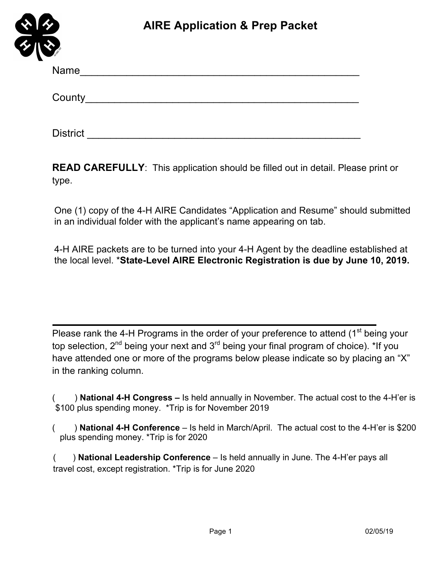

District \_\_\_\_\_\_\_\_\_\_\_\_\_\_\_\_\_\_\_\_\_\_\_\_\_\_\_\_\_\_\_\_\_\_\_\_\_\_\_\_\_\_\_\_\_\_\_

**READ CAREFULLY**: This application should be filled out in detail. Please print or type.

One (1) copy of the 4-H AIRE Candidates "Application and Resume" should submitted in an individual folder with the applicant's name appearing on tab.

4-H AIRE packets are to be turned into your 4-H Agent by the deadline established at the local level. \***State-Level AIRE Electronic Registration is due by June 10, 2019.**

Please rank the 4-H Programs in the order of your preference to attend (1<sup>st</sup> being your top selection, 2<sup>nd</sup> being your next and 3<sup>rd</sup> being your final program of choice). \*If you have attended one or more of the programs below please indicate so by placing an "X" in the ranking column.

( ) **National 4-H Congress –** Is held annually in November. The actual cost to the 4-H'er is \$100 plus spending money. \*Trip is for November 2019

( ) **National 4-H Conference** – Is held in March/April. The actual cost to the 4-H'er is \$200 plus spending money. \*Trip is for 2020

( ) **National Leadership Conference** – Is held annually in June. The 4-H'er pays all travel cost, except registration. \*Trip is for June 2020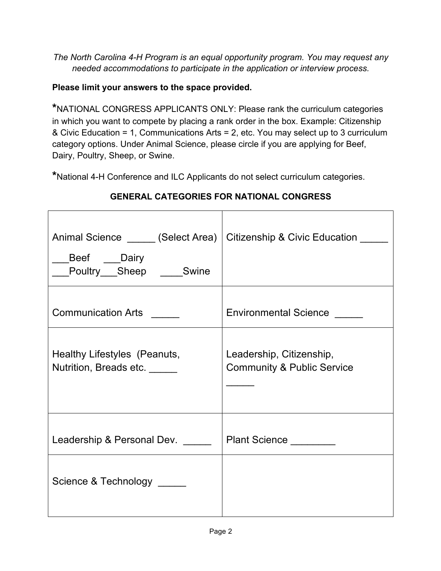*The North Carolina 4-H Program is an equal opportunity program. You may request any needed accommodations to participate in the application or interview process.* 

#### **Please limit your answers to the space provided.**

**\***NATIONAL CONGRESS APPLICANTS ONLY: Please rank the curriculum categories in which you want to compete by placing a rank order in the box. Example: Citizenship & Civic Education = 1, Communications Arts = 2, etc. You may select up to 3 curriculum category options. Under Animal Science, please circle if you are applying for Beef, Dairy, Poultry, Sheep, or Swine.

**\***National 4-H Conference and ILC Applicants do not select curriculum categories.

| Animal Science ______ (Select Area)   Citizenship & Civic Education __<br>Beef Dairy<br>Poultry Sheep Swine |                                                                   |
|-------------------------------------------------------------------------------------------------------------|-------------------------------------------------------------------|
| <b>Communication Arts</b>                                                                                   | <b>Environmental Science</b>                                      |
| Healthy Lifestyles (Peanuts,<br>Nutrition, Breads etc.                                                      | Leadership, Citizenship,<br><b>Community &amp; Public Service</b> |
| Leadership & Personal Dev.                                                                                  | Plant Science ________                                            |
| Science & Technology                                                                                        |                                                                   |

#### **GENERAL CATEGORIES FOR NATIONAL CONGRESS**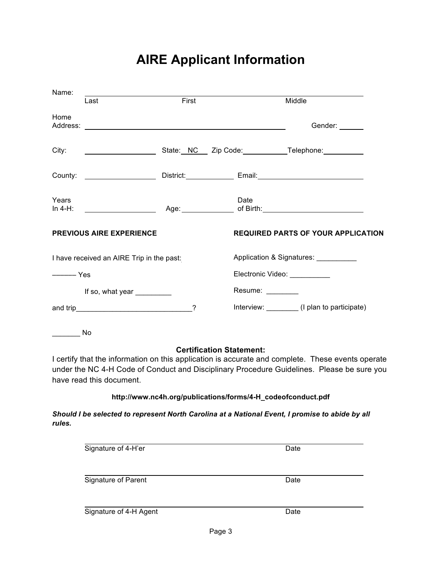# **AIRE Applicant Information**

| Name:                                                                                                                                                                                                                                                          |                                           |       |                              |                                                                                                 |
|----------------------------------------------------------------------------------------------------------------------------------------------------------------------------------------------------------------------------------------------------------------|-------------------------------------------|-------|------------------------------|-------------------------------------------------------------------------------------------------|
|                                                                                                                                                                                                                                                                | Last                                      | First |                              | Middle                                                                                          |
| Home<br>Address:                                                                                                                                                                                                                                               |                                           |       |                              | Gender: ______                                                                                  |
| City:                                                                                                                                                                                                                                                          |                                           |       |                              | State: NC Zip Code: Telephone:                                                                  |
| County:                                                                                                                                                                                                                                                        |                                           |       |                              |                                                                                                 |
| Years<br>In $4-H$ :                                                                                                                                                                                                                                            |                                           |       | Date                         | Age: of Birth: the contract of Birth:                                                           |
|                                                                                                                                                                                                                                                                | <b>PREVIOUS AIRE EXPERIENCE</b>           |       |                              | <b>REQUIRED PARTS OF YOUR APPLICATION</b>                                                       |
|                                                                                                                                                                                                                                                                | I have received an AIRE Trip in the past: |       |                              | Application & Signatures: __________                                                            |
| $\overline{\phantom{a}}$ Yes                                                                                                                                                                                                                                   |                                           |       | Electronic Video: __________ |                                                                                                 |
|                                                                                                                                                                                                                                                                | If so, what year _________                |       | Resume: ________             |                                                                                                 |
|                                                                                                                                                                                                                                                                |                                           | ?     |                              | Interview: ________(I plan to participate)                                                      |
|                                                                                                                                                                                                                                                                | No.                                       |       |                              |                                                                                                 |
| <b>Certification Statement:</b><br>I certify that the information on this application is accurate and complete. These events operate<br>under the NC 4-H Code of Conduct and Disciplinary Procedure Guidelines. Please be sure you<br>have read this document. |                                           |       |                              |                                                                                                 |
| http://www.nc4h.org/publications/forms/4-H_codeofconduct.pdf                                                                                                                                                                                                   |                                           |       |                              |                                                                                                 |
| rules.                                                                                                                                                                                                                                                         |                                           |       |                              | Should I be selected to represent North Carolina at a National Event, I promise to abide by all |

| Signature of 4-H'er    | Date |
|------------------------|------|
| Signature of Parent    | Date |
| Signature of 4-H Agent | Date |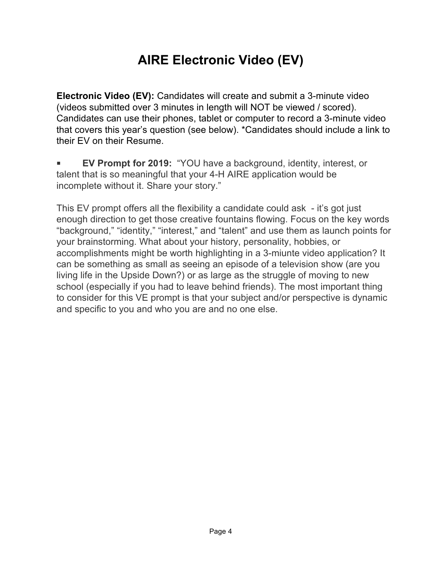# **AIRE Electronic Video (EV)**

**Electronic Video (EV):** Candidates will create and submit a 3-minute video (videos submitted over 3 minutes in length will NOT be viewed / scored). Candidates can use their phones, tablet or computer to record a 3-minute video that covers this year's question (see below). \*Candidates should include a link to their EV on their Resume.

 **EV Prompt for 2019:** "YOU have a background, identity, interest, or talent that is so meaningful that your 4-H AIRE application would be incomplete without it. Share your story."

This EV prompt offers all the flexibility a candidate could ask - it's got just enough direction to get those creative fountains flowing. Focus on the key words "background," "identity," "interest," and "talent" and use them as launch points for your brainstorming. What about your history, personality, hobbies, or accomplishments might be worth highlighting in a 3-miunte video application? It can be something as small as seeing an episode of a television show (are you living life in the Upside Down?) or as large as the struggle of moving to new school (especially if you had to leave behind friends). The most important thing to consider for this VE prompt is that your subject and/or perspective is dynamic and specific to you and who you are and no one else.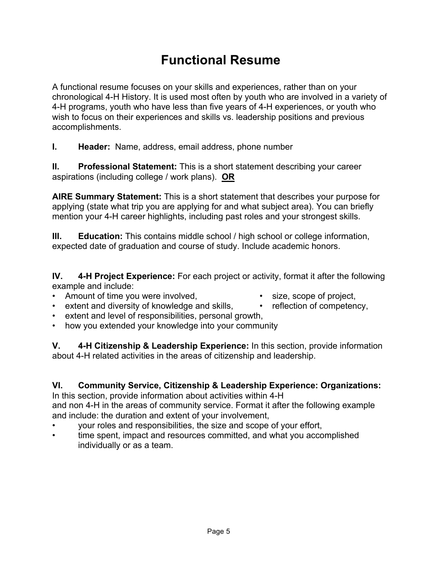## **Functional Resume**

A functional resume focuses on your skills and experiences, rather than on your chronological 4-H History. It is used most often by youth who are involved in a variety of 4-H programs, youth who have less than five years of 4-H experiences, or youth who wish to focus on their experiences and skills vs. leadership positions and previous accomplishments.

**I. Header:** Name, address, email address, phone number

**II. Professional Statement:** This is a short statement describing your career aspirations (including college / work plans). **OR**

**AIRE Summary Statement:** This is a short statement that describes your purpose for applying (state what trip you are applying for and what subject area). You can briefly mention your 4-H career highlights, including past roles and your strongest skills.

**III. Education:** This contains middle school / high school or college information, expected date of graduation and course of study. Include academic honors.

**IV. 4-H Project Experience:** For each project or activity, format it after the following example and include:

- Amount of time you were involved, example the size, scope of project,
- 
- extent and diversity of knowledge and skills, reflection of competency,
- extent and level of responsibilities, personal growth,
- how you extended your knowledge into your community

**V. 4-H Citizenship & Leadership Experience:** In this section, provide information about 4-H related activities in the areas of citizenship and leadership.

#### **VI. Community Service, Citizenship & Leadership Experience: Organizations:**

In this section, provide information about activities within 4-H and non 4-H in the areas of community service. Format it after the following example and include: the duration and extent of your involvement,

- your roles and responsibilities, the size and scope of your effort,
- time spent, impact and resources committed, and what you accomplished individually or as a team.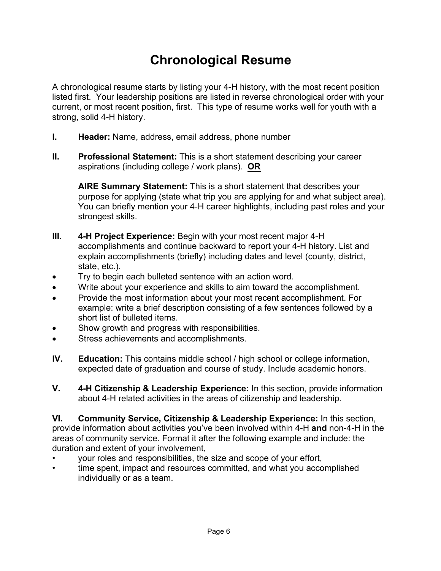## **Chronological Resume**

A chronological resume starts by listing your 4-H history, with the most recent position listed first. Your leadership positions are listed in reverse chronological order with your current, or most recent position, first. This type of resume works well for youth with a strong, solid 4-H history.

- **I. Header:** Name, address, email address, phone number
- **II. Professional Statement:** This is a short statement describing your career aspirations (including college / work plans). **OR**

**AIRE Summary Statement:** This is a short statement that describes your purpose for applying (state what trip you are applying for and what subject area). You can briefly mention your 4-H career highlights, including past roles and your strongest skills.

- **III. 4-H Project Experience:** Begin with your most recent major 4-H accomplishments and continue backward to report your 4-H history. List and explain accomplishments (briefly) including dates and level (county, district, state, etc.).
- Try to begin each bulleted sentence with an action word.
- Write about your experience and skills to aim toward the accomplishment.
- Provide the most information about your most recent accomplishment. For example: write a brief description consisting of a few sentences followed by a short list of bulleted items.
- Show growth and progress with responsibilities.
- Stress achievements and accomplishments.
- **IV. Education:** This contains middle school / high school or college information, expected date of graduation and course of study. Include academic honors.
- **V. 4-H Citizenship & Leadership Experience:** In this section, provide information about 4-H related activities in the areas of citizenship and leadership.

**VI. Community Service, Citizenship & Leadership Experience:** In this section, provide information about activities you've been involved within 4-H **and** non-4-H in the areas of community service. Format it after the following example and include: the duration and extent of your involvement,

- your roles and responsibilities, the size and scope of your effort,
- time spent, impact and resources committed, and what you accomplished individually or as a team.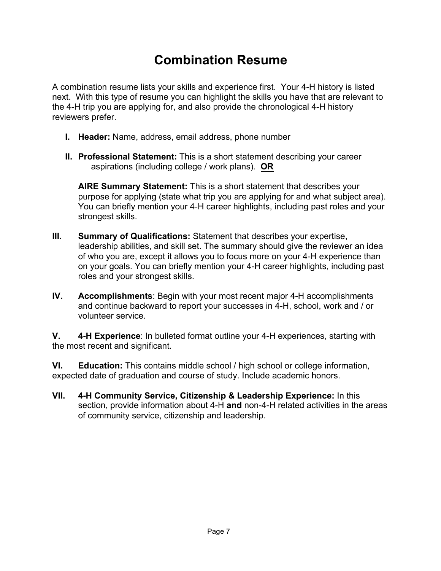## **Combination Resume**

A combination resume lists your skills and experience first. Your 4-H history is listed next. With this type of resume you can highlight the skills you have that are relevant to the 4-H trip you are applying for, and also provide the chronological 4-H history reviewers prefer.

- **I. Header:** Name, address, email address, phone number
- **II. Professional Statement:** This is a short statement describing your career aspirations (including college / work plans). **OR**

**AIRE Summary Statement:** This is a short statement that describes your purpose for applying (state what trip you are applying for and what subject area). You can briefly mention your 4-H career highlights, including past roles and your strongest skills.

- **III. Summary of Qualifications:** Statement that describes your expertise, leadership abilities, and skill set. The summary should give the reviewer an idea of who you are, except it allows you to focus more on your 4-H experience than on your goals. You can briefly mention your 4-H career highlights, including past roles and your strongest skills.
- **IV. Accomplishments**: Begin with your most recent major 4-H accomplishments and continue backward to report your successes in 4-H, school, work and / or volunteer service.

**V. 4-H Experience**: In bulleted format outline your 4-H experiences, starting with the most recent and significant.

**VI. Education:** This contains middle school / high school or college information, expected date of graduation and course of study. Include academic honors.

**VII. 4-H Community Service, Citizenship & Leadership Experience:** In this section, provide information about 4-H **and** non-4-H related activities in the areas of community service, citizenship and leadership.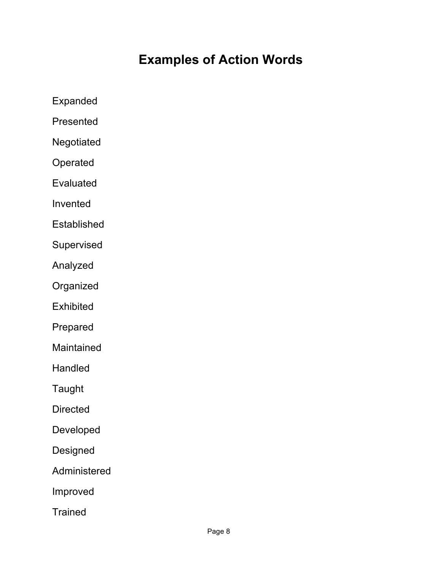## **Examples of Action Words**

Expanded

Presented

Negotiated

Operated

Evaluated

Invented

**Established** 

Supervised

Analyzed

Organized

**Exhibited** 

Prepared

Maintained

Handled

Taught

**Directed** 

Developed

Designed

Administered

Improved

**Trained**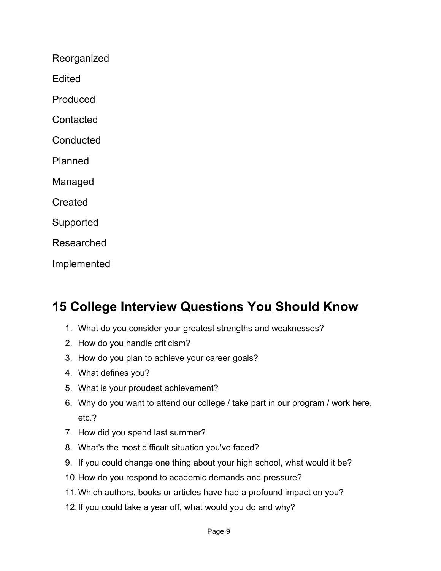Reorganized

**Edited** 

Produced

**Contacted** 

**Conducted** 

Planned

Managed

**Created** 

Supported

Researched

Implemented

## **15 College Interview Questions You Should Know**

- 1. What do you consider your greatest strengths and weaknesses?
- 2. How do you handle criticism?
- 3. How do you plan to achieve your career goals?
- 4. What defines you?
- 5. What is your proudest achievement?
- 6. Why do you want to attend our college / take part in our program / work here, etc.?
- 7. How did you spend last summer?
- 8. What's the most difficult situation you've faced?
- 9. If you could change one thing about your high school, what would it be?
- 10. How do you respond to academic demands and pressure?
- 11. Which authors, books or articles have had a profound impact on you?
- 12. If you could take a year off, what would you do and why?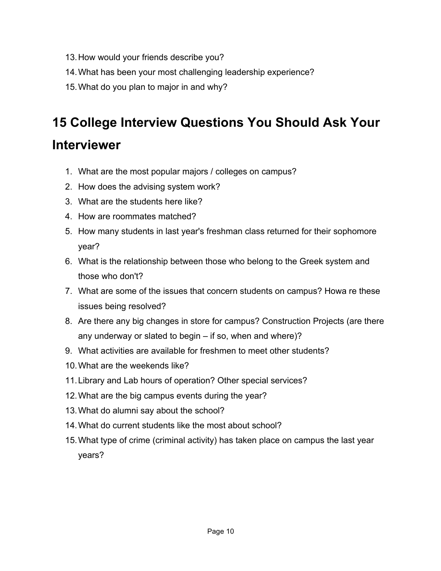- 13. How would your friends describe you?
- 14. What has been your most challenging leadership experience?
- 15. What do you plan to major in and why?

# **15 College Interview Questions You Should Ask Your**

## **Interviewer**

- 1. What are the most popular majors / colleges on campus?
- 2. How does the advising system work?
- 3. What are the students here like?
- 4. How are roommates matched?
- 5. How many students in last year's freshman class returned for their sophomore year?
- 6. What is the relationship between those who belong to the Greek system and those who don't?
- 7. What are some of the issues that concern students on campus? Howa re these issues being resolved?
- 8. Are there any big changes in store for campus? Construction Projects (are there any underway or slated to begin – if so, when and where)?
- 9. What activities are available for freshmen to meet other students?
- 10. What are the weekends like?
- 11. Library and Lab hours of operation? Other special services?
- 12. What are the big campus events during the year?
- 13. What do alumni say about the school?
- 14. What do current students like the most about school?
- 15. What type of crime (criminal activity) has taken place on campus the last year years?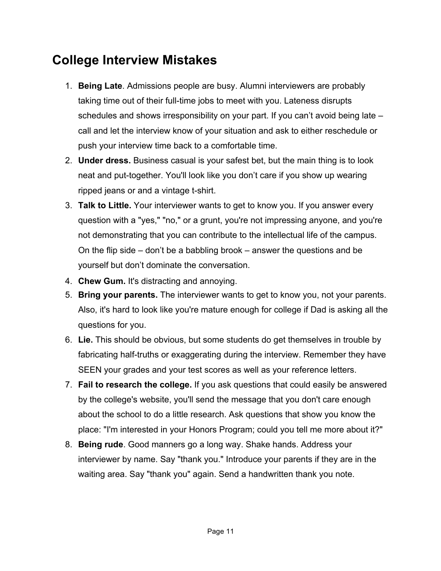## **College Interview Mistakes**

- 1. **Being Late**. Admissions people are busy. Alumni interviewers are probably taking time out of their full-time jobs to meet with you. Lateness disrupts schedules and shows irresponsibility on your part. If you can't avoid being late – call and let the interview know of your situation and ask to either reschedule or push your interview time back to a comfortable time.
- 2. **Under dress.** Business casual is your safest bet, but the main thing is to look neat and put-together. You'll look like you don't care if you show up wearing ripped jeans or and a vintage t-shirt.
- 3. **Talk to Little.** Your interviewer wants to get to know you. If you answer every question with a "yes," "no," or a grunt, you're not impressing anyone, and you're not demonstrating that you can contribute to the intellectual life of the campus. On the flip side – don't be a babbling brook – answer the questions and be yourself but don't dominate the conversation.
- 4. **Chew Gum.** It's distracting and annoying.
- 5. **Bring your parents.** The interviewer wants to get to know you, not your parents. Also, it's hard to look like you're mature enough for college if Dad is asking all the questions for you.
- 6. **Lie.** This should be obvious, but some students do get themselves in trouble by fabricating half-truths or exaggerating during the interview. Remember they have SEEN your grades and your test scores as well as your reference letters.
- 7. **Fail to research the college.** If you ask questions that could easily be answered by the college's website, you'll send the message that you don't care enough about the school to do a little research. Ask questions that show you know the place: "I'm interested in your Honors Program; could you tell me more about it?"
- 8. **Being rude**. Good manners go a long way. Shake hands. Address your interviewer by name. Say "thank you." Introduce your parents if they are in the waiting area. Say "thank you" again. Send a handwritten thank you note.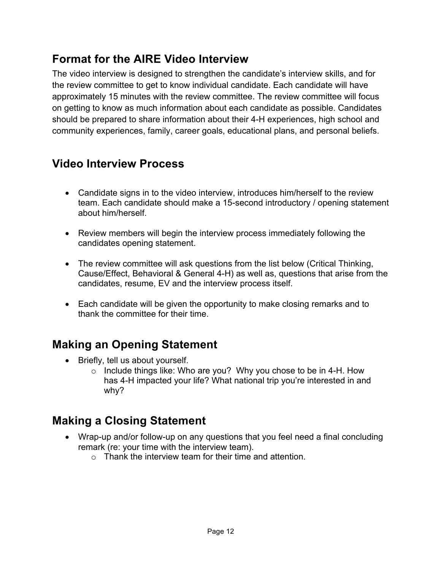### **Format for the AIRE Video Interview**

The video interview is designed to strengthen the candidate's interview skills, and for the review committee to get to know individual candidate. Each candidate will have approximately 15 minutes with the review committee. The review committee will focus on getting to know as much information about each candidate as possible. Candidates should be prepared to share information about their 4-H experiences, high school and community experiences, family, career goals, educational plans, and personal beliefs.

### **Video Interview Process**

- Candidate signs in to the video interview, introduces him/herself to the review team. Each candidate should make a 15-second introductory / opening statement about him/herself.
- Review members will begin the interview process immediately following the candidates opening statement.
- The review committee will ask questions from the list below (Critical Thinking, Cause/Effect, Behavioral & General 4-H) as well as, questions that arise from the candidates, resume, EV and the interview process itself.
- Each candidate will be given the opportunity to make closing remarks and to thank the committee for their time.

## **Making an Opening Statement**

- Briefly, tell us about yourself.
	- o Include things like: Who are you? Why you chose to be in 4-H. How has 4-H impacted your life? What national trip you're interested in and why?

### **Making a Closing Statement**

- Wrap-up and/or follow-up on any questions that you feel need a final concluding remark (re: your time with the interview team).
	- $\circ$  Thank the interview team for their time and attention.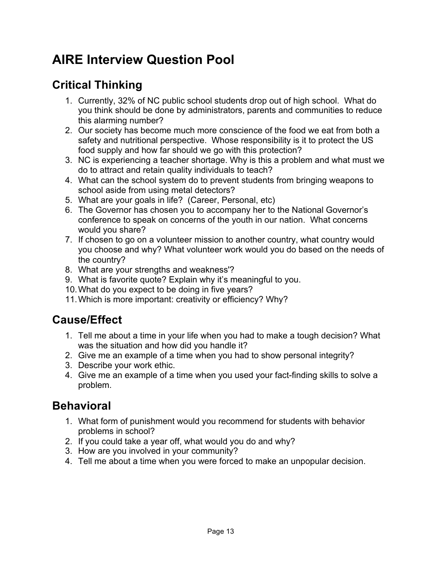## **AIRE Interview Question Pool**

## **Critical Thinking**

- 1. Currently, 32% of NC public school students drop out of high school. What do you think should be done by administrators, parents and communities to reduce this alarming number?
- 2. Our society has become much more conscience of the food we eat from both a safety and nutritional perspective. Whose responsibility is it to protect the US food supply and how far should we go with this protection?
- 3. NC is experiencing a teacher shortage. Why is this a problem and what must we do to attract and retain quality individuals to teach?
- 4. What can the school system do to prevent students from bringing weapons to school aside from using metal detectors?
- 5. What are your goals in life? (Career, Personal, etc)
- 6. The Governor has chosen you to accompany her to the National Governor's conference to speak on concerns of the youth in our nation. What concerns would you share?
- 7. If chosen to go on a volunteer mission to another country, what country would you choose and why? What volunteer work would you do based on the needs of the country?
- 8. What are your strengths and weakness'?
- 9. What is favorite quote? Explain why it's meaningful to you.
- 10. What do you expect to be doing in five years?
- 11. Which is more important: creativity or efficiency? Why?

### **Cause/Effect**

- 1. Tell me about a time in your life when you had to make a tough decision? What was the situation and how did you handle it?
- 2. Give me an example of a time when you had to show personal integrity?
- 3. Describe your work ethic.
- 4. Give me an example of a time when you used your fact-finding skills to solve a problem.

### **Behavioral**

- 1. What form of punishment would you recommend for students with behavior problems in school?
- 2. If you could take a year off, what would you do and why?
- 3. How are you involved in your community?
- 4. Tell me about a time when you were forced to make an unpopular decision.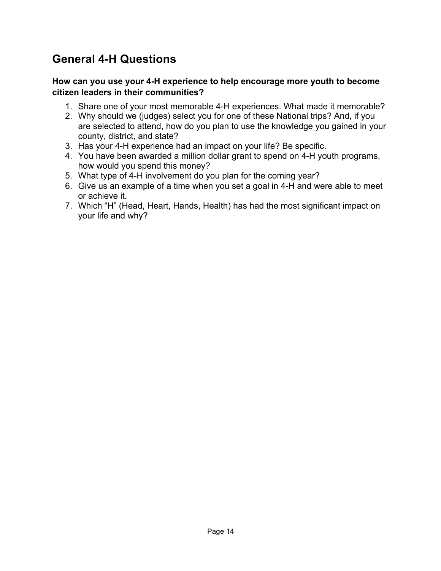## **General 4-H Questions**

#### **How can you use your 4-H experience to help encourage more youth to become citizen leaders in their communities?**

- 1. Share one of your most memorable 4-H experiences. What made it memorable?
- 2. Why should we (judges) select you for one of these National trips? And, if you are selected to attend, how do you plan to use the knowledge you gained in your county, district, and state?
- 3. Has your 4-H experience had an impact on your life? Be specific.
- 4. You have been awarded a million dollar grant to spend on 4-H youth programs, how would you spend this money?
- 5. What type of 4-H involvement do you plan for the coming year?
- 6. Give us an example of a time when you set a goal in 4-H and were able to meet or achieve it.
- 7. Which "H" (Head, Heart, Hands, Health) has had the most significant impact on your life and why?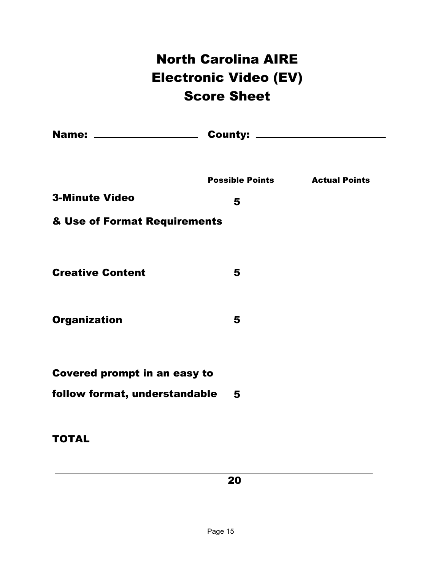# North Carolina AIRE Electronic Video (EV) Score Sheet

|                                     | <b>Possible Points Actual Points</b> |  |  |
|-------------------------------------|--------------------------------------|--|--|
| <b>3-Minute Video</b>               | 5                                    |  |  |
| & Use of Format Requirements        |                                      |  |  |
|                                     |                                      |  |  |
| <b>Creative Content</b>             | 5                                    |  |  |
| <b>Organization</b>                 | 5                                    |  |  |
|                                     |                                      |  |  |
| <b>Covered prompt in an easy to</b> |                                      |  |  |
| follow format, understandable       | 5                                    |  |  |
|                                     |                                      |  |  |
| <b>TOTAL</b>                        |                                      |  |  |

20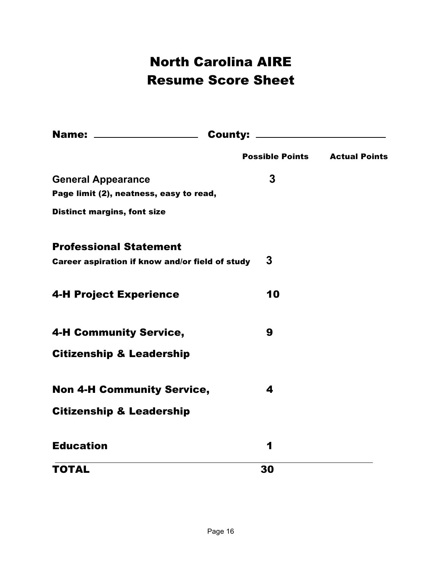# North Carolina AIRE Resume Score Sheet

|                                                 | <b>Possible Points</b> | <b>Actual Points</b> |
|-------------------------------------------------|------------------------|----------------------|
| <b>General Appearance</b>                       | 3                      |                      |
| Page limit (2), neatness, easy to read,         |                        |                      |
| <b>Distinct margins, font size</b>              |                        |                      |
| <b>Professional Statement</b>                   |                        |                      |
| Career aspiration if know and/or field of study | 3                      |                      |
| <b>4-H Project Experience</b>                   | 10                     |                      |
| <b>4-H Community Service,</b>                   | 9                      |                      |
| <b>Citizenship &amp; Leadership</b>             |                        |                      |
| <b>Non 4-H Community Service,</b>               | 4                      |                      |
| <b>Citizenship &amp; Leadership</b>             |                        |                      |
| <b>Education</b>                                | 1                      |                      |
| TOTAL                                           | 30                     |                      |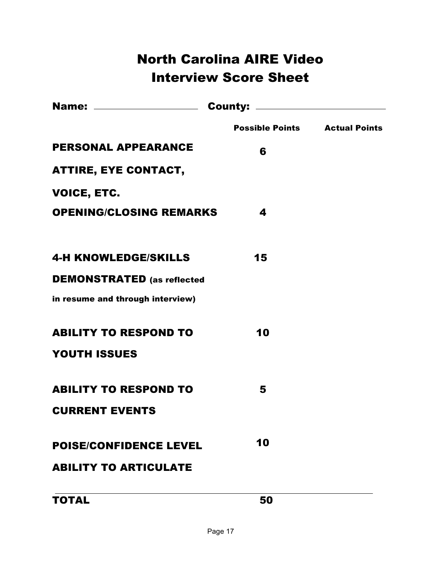## North Carolina AIRE Video Interview Score Sheet

|                                   | <b>Possible Points Actual Points</b> |  |  |
|-----------------------------------|--------------------------------------|--|--|
| <b>PERSONAL APPEARANCE</b>        | 6                                    |  |  |
| <b>ATTIRE, EYE CONTACT,</b>       |                                      |  |  |
| <b>VOICE, ETC.</b>                |                                      |  |  |
| <b>OPENING/CLOSING REMARKS</b>    | 4                                    |  |  |
|                                   |                                      |  |  |
| <b>4-H KNOWLEDGE/SKILLS</b>       | 15                                   |  |  |
| <b>DEMONSTRATED</b> (as reflected |                                      |  |  |
| in resume and through interview)  |                                      |  |  |
| <b>ABILITY TO RESPOND TO</b>      | 10                                   |  |  |
| <b>YOUTH ISSUES</b>               |                                      |  |  |
| <b>ABILITY TO RESPOND TO</b>      | 5                                    |  |  |
| <b>CURRENT EVENTS</b>             |                                      |  |  |
| <b>POISE/CONFIDENCE LEVEL</b>     | 10                                   |  |  |
| <b>ABILITY TO ARTICULATE</b>      |                                      |  |  |
| <b>TOTAL</b>                      | 50                                   |  |  |